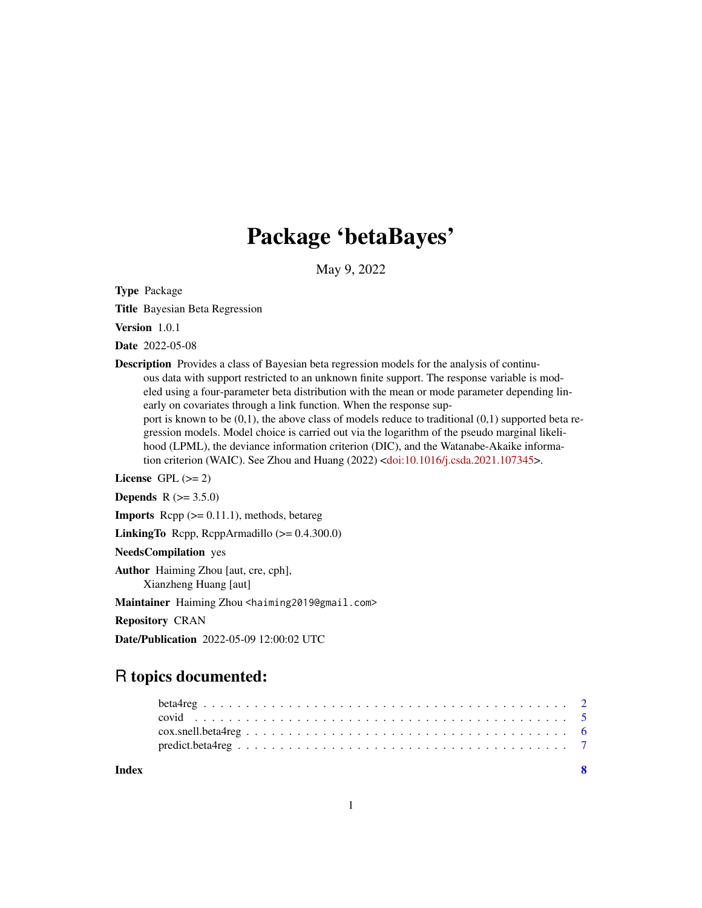## Package 'betaBayes'

May 9, 2022

<span id="page-0-0"></span>Type Package

Title Bayesian Beta Regression

Version 1.0.1

Date 2022-05-08

Description Provides a class of Bayesian beta regression models for the analysis of continuous data with support restricted to an unknown finite support. The response variable is modeled using a four-parameter beta distribution with the mean or mode parameter depending linearly on covariates through a link function. When the response support is known to be  $(0,1)$ , the above class of models reduce to traditional  $(0,1)$  supported beta regression models. Model choice is carried out via the logarithm of the pseudo marginal likelihood (LPML), the deviance information criterion (DIC), and the Watanabe-Akaike information criterion (WAIC). See Zhou and Huang (2022) [<doi:10.1016/j.csda.2021.107345>](https://doi.org/10.1016/j.csda.2021.107345).

License GPL  $(>= 2)$ 

**Depends**  $R (= 3.5.0)$ 

**Imports** Rcpp  $(>= 0.11.1)$ , methods, betareg

LinkingTo Rcpp, RcppArmadillo (>= 0.4.300.0)

NeedsCompilation yes

Author Haiming Zhou [aut, cre, cph], Xianzheng Huang [aut]

Maintainer Haiming Zhou <haiming2019@gmail.com>

Repository CRAN

Date/Publication 2022-05-09 12:00:02 UTC

### R topics documented:

**Index** [8](#page-7-0) **8**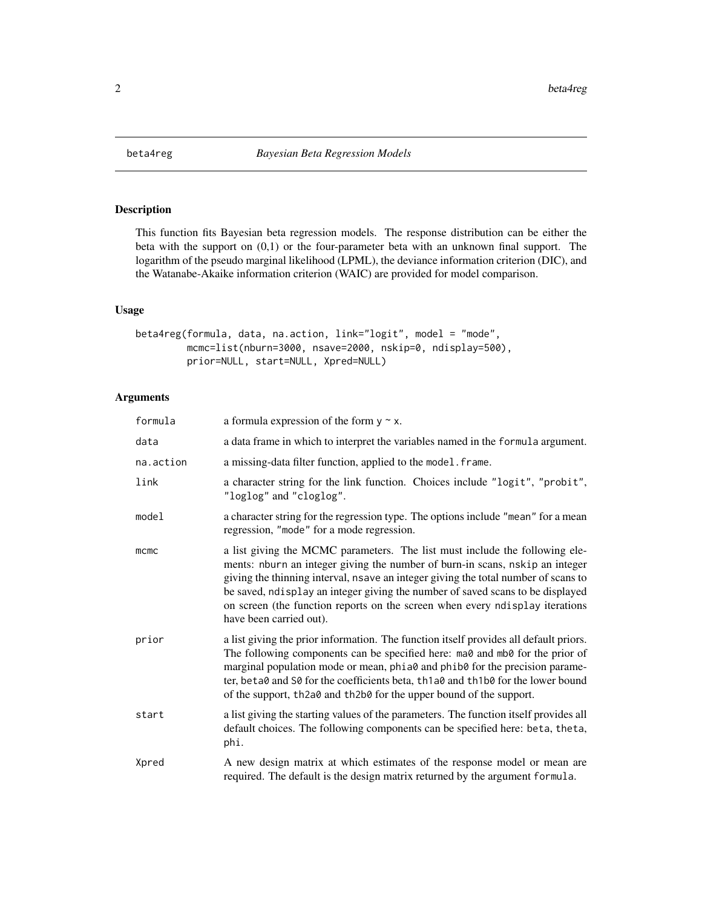<span id="page-1-1"></span><span id="page-1-0"></span>

#### Description

This function fits Bayesian beta regression models. The response distribution can be either the beta with the support on (0,1) or the four-parameter beta with an unknown final support. The logarithm of the pseudo marginal likelihood (LPML), the deviance information criterion (DIC), and the Watanabe-Akaike information criterion (WAIC) are provided for model comparison.

#### Usage

```
beta4reg(formula, data, na.action, link="logit", model = "mode",
         mcmc=list(nburn=3000, nsave=2000, nskip=0, ndisplay=500),
        prior=NULL, start=NULL, Xpred=NULL)
```
#### Arguments

| formula   | a formula expression of the form $y \sim x$ .                                                                                                                                                                                                                                                                                                                                                                                                  |
|-----------|------------------------------------------------------------------------------------------------------------------------------------------------------------------------------------------------------------------------------------------------------------------------------------------------------------------------------------------------------------------------------------------------------------------------------------------------|
| data      | a data frame in which to interpret the variables named in the formula argument.                                                                                                                                                                                                                                                                                                                                                                |
| na.action | a missing-data filter function, applied to the model. frame.                                                                                                                                                                                                                                                                                                                                                                                   |
| link      | a character string for the link function. Choices include "logit", "probit",<br>"loglog" and "cloglog".                                                                                                                                                                                                                                                                                                                                        |
| model     | a character string for the regression type. The options include "mean" for a mean<br>regression, "mode" for a mode regression.                                                                                                                                                                                                                                                                                                                 |
| mcmc      | a list giving the MCMC parameters. The list must include the following ele-<br>ments: nburn an integer giving the number of burn-in scans, nskip an integer<br>giving the thinning interval, nsave an integer giving the total number of scans to<br>be saved, ndisplay an integer giving the number of saved scans to be displayed<br>on screen (the function reports on the screen when every ndisplay iterations<br>have been carried out). |
| prior     | a list giving the prior information. The function itself provides all default priors.<br>The following components can be specified here: ma0 and mb0 for the prior of<br>marginal population mode or mean, phia0 and phib0 for the precision parame-<br>ter, beta0 and S0 for the coefficients beta, th1a0 and th1b0 for the lower bound<br>of the support, th2a0 and th2b0 for the upper bound of the support.                                |
| start     | a list giving the starting values of the parameters. The function itself provides all<br>default choices. The following components can be specified here: beta, theta,<br>phi.                                                                                                                                                                                                                                                                 |
| Xpred     | A new design matrix at which estimates of the response model or mean are<br>required. The default is the design matrix returned by the argument formula.                                                                                                                                                                                                                                                                                       |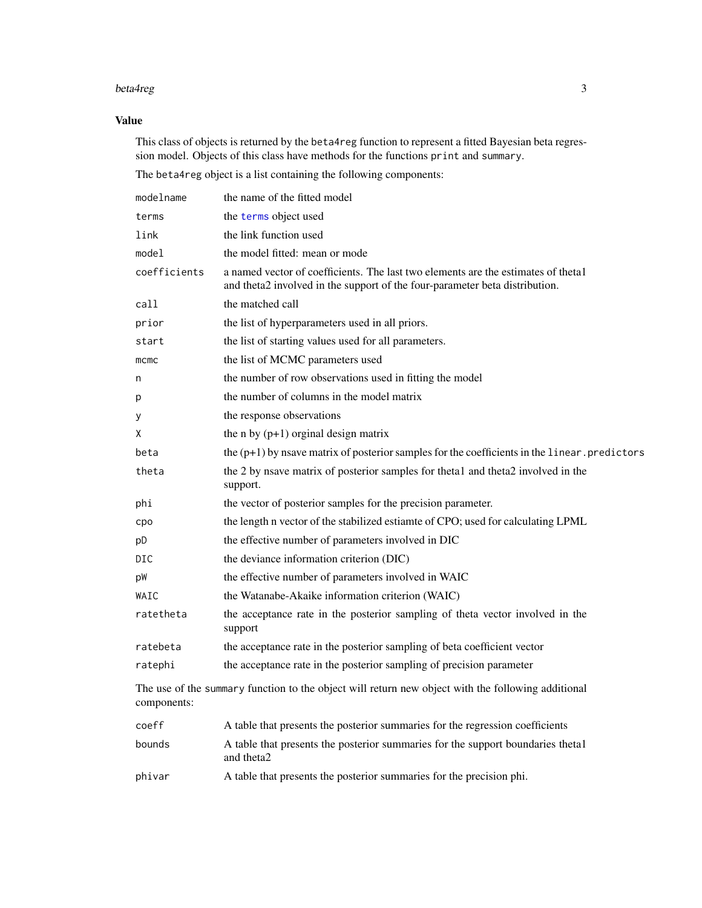#### <span id="page-2-0"></span>beta4reg 3

#### Value

This class of objects is returned by the beta4reg function to represent a fitted Bayesian beta regression model. Objects of this class have methods for the functions print and summary.

The beta4reg object is a list containing the following components:

| modelname    | the name of the fitted model                                                                                                                                     |
|--------------|------------------------------------------------------------------------------------------------------------------------------------------------------------------|
| terms        | the terms object used                                                                                                                                            |
| link         | the link function used                                                                                                                                           |
| model        | the model fitted: mean or mode                                                                                                                                   |
| coefficients | a named vector of coefficients. The last two elements are the estimates of theta1<br>and theta2 involved in the support of the four-parameter beta distribution. |
| call         | the matched call                                                                                                                                                 |
| prior        | the list of hyperparameters used in all priors.                                                                                                                  |
| start        | the list of starting values used for all parameters.                                                                                                             |
| mcmc         | the list of MCMC parameters used                                                                                                                                 |
| n            | the number of row observations used in fitting the model                                                                                                         |
| р            | the number of columns in the model matrix                                                                                                                        |
| y            | the response observations                                                                                                                                        |
| χ            | the n by $(p+1)$ orginal design matrix                                                                                                                           |
| beta         | the $(p+1)$ by nsave matrix of posterior samples for the coefficients in the linear predictors                                                                   |
| theta        | the 2 by nsave matrix of posterior samples for theta1 and theta2 involved in the<br>support.                                                                     |
| phi          | the vector of posterior samples for the precision parameter.                                                                                                     |
| cpo          | the length n vector of the stabilized estiamte of CPO; used for calculating LPML                                                                                 |
| pD           | the effective number of parameters involved in DIC                                                                                                               |
| DIC          | the deviance information criterion (DIC)                                                                                                                         |
| pW           | the effective number of parameters involved in WAIC                                                                                                              |
| WAIC         | the Watanabe-Akaike information criterion (WAIC)                                                                                                                 |
| ratetheta    | the acceptance rate in the posterior sampling of theta vector involved in the<br>support                                                                         |
| ratebeta     | the acceptance rate in the posterior sampling of beta coefficient vector                                                                                         |
| ratephi      | the acceptance rate in the posterior sampling of precision parameter                                                                                             |
| components:  | The use of the summary function to the object will return new object with the following additional                                                               |
| coeff        | A table that presents the posterior summaries for the regression coefficients                                                                                    |
| bounds       | A table that presents the posterior summaries for the support boundaries thetal                                                                                  |

| pounds | A table that presents the posterior summaries for the support boundaries the<br>and theta2 |
|--------|--------------------------------------------------------------------------------------------|
| phivar | A table that presents the posterior summaries for the precision phi.                       |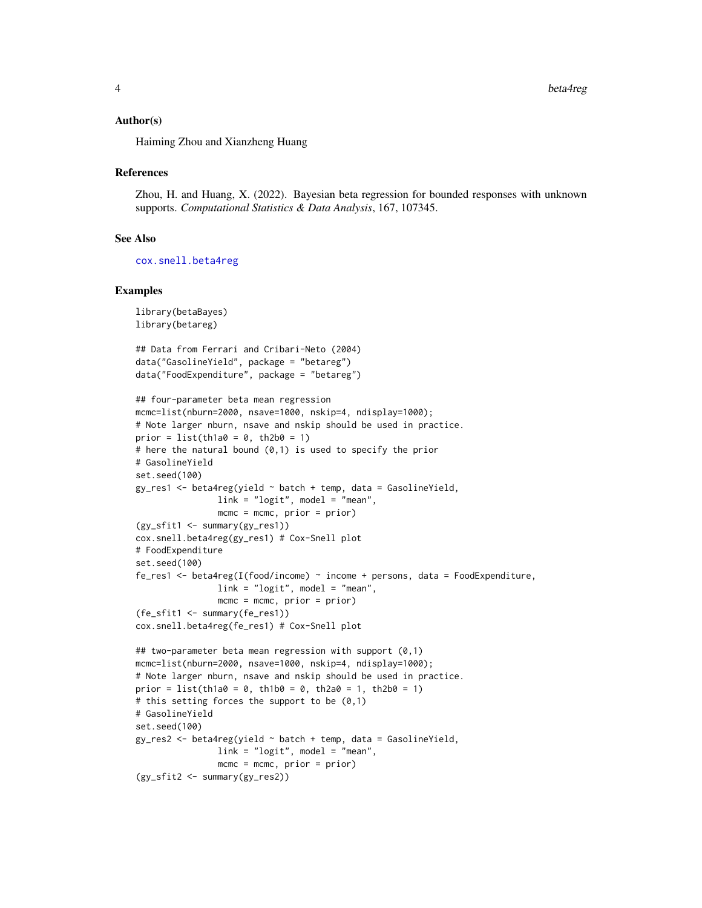#### <span id="page-3-0"></span>Author(s)

Haiming Zhou and Xianzheng Huang

#### References

Zhou, H. and Huang, X. (2022). Bayesian beta regression for bounded responses with unknown supports. *Computational Statistics & Data Analysis*, 167, 107345.

#### See Also

[cox.snell.beta4reg](#page-5-1)

#### Examples

```
library(betaBayes)
library(betareg)
## Data from Ferrari and Cribari-Neto (2004)
data("GasolineYield", package = "betareg")
data("FoodExpenditure", package = "betareg")
## four-parameter beta mean regression
mcmc=list(nburn=2000, nsave=1000, nskip=4, ndisplay=1000);
# Note larger nburn, nsave and nskip should be used in practice.
prior = list(th1a0 = 0, th2b0 = 1)# here the natural bound (0,1) is used to specify the prior
# GasolineYield
set.seed(100)
gy_res1 <- beta4reg(yield ~ batch + temp, data = GasolineYield,
                link = "logit", model = "mean",mcmc = mcmc, prior = prior)
(gy_sfit1 <- summary(gy_res1))
cox.snell.beta4reg(gy_res1) # Cox-Snell plot
# FoodExpenditure
set.seed(100)
fe_res1 <- beta4reg(I(food/income) \sim income + persons, data = FoodExpenditure,
                link = "logit", model = "mean",mcmc = mcmc, prior = prior)
(fe_sfit1 <- summary(fe_res1))
cox.snell.beta4reg(fe_res1) # Cox-Snell plot
## two-parameter beta mean regression with support (0,1)
mcmc=list(nburn=2000, nsave=1000, nskip=4, ndisplay=1000);
# Note larger nburn, nsave and nskip should be used in practice.
prior = list(th1a0 = 0, th1b0 = 0, th2a0 = 1, th2b0 = 1)
# this setting forces the support to be (0,1)
# GasolineYield
set.seed(100)
gy_res2 <- beta4reg(yield ~ batch + temp, data = GasolineYield,
                link = "logit", model = "mean",
                mcmc = mcmc, prior = prior)
(gy_sfit2 <- summary(gy_res2))
```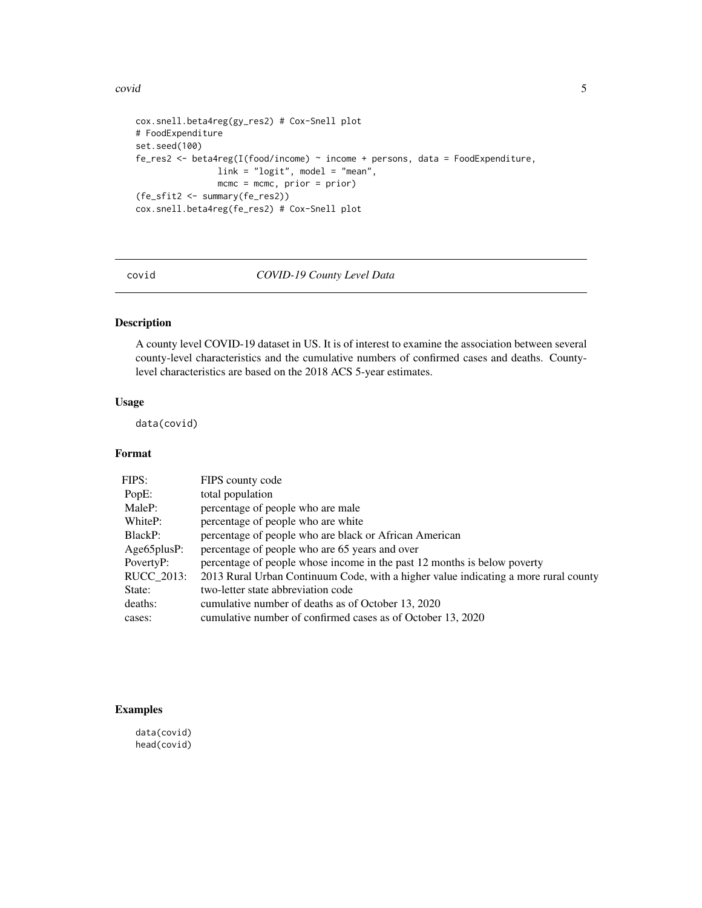```
cox.snell.beta4reg(gy_res2) # Cox-Snell plot
# FoodExpenditure
set.seed(100)
fe_res2 <- beta4reg(I(food/income) \sim income + persons, data = FoodExpenditure,
                link = "logit", model = "mean",mcmc = mcmc, prior = prior)
(fe_sfit2 <- summary(fe_res2))
cox.snell.beta4reg(fe_res2) # Cox-Snell plot
```
#### covid *COVID-19 County Level Data*

#### Description

A county level COVID-19 dataset in US. It is of interest to examine the association between several county-level characteristics and the cumulative numbers of confirmed cases and deaths. Countylevel characteristics are based on the 2018 ACS 5-year estimates.

#### Usage

data(covid)

#### Format

| FIPS:             | FIPS county code                                                                    |
|-------------------|-------------------------------------------------------------------------------------|
| PopE:             | total population                                                                    |
| MaleP:            | percentage of people who are male                                                   |
| WhiteP:           | percentage of people who are white                                                  |
| BlackP:           | percentage of people who are black or African American                              |
| $Age65$ plus $P:$ | percentage of people who are 65 years and over                                      |
| PovertyP:         | percentage of people whose income in the past 12 months is below poverty            |
| RUCC_2013:        | 2013 Rural Urban Continuum Code, with a higher value indicating a more rural county |
| State:            | two-letter state abbreviation code                                                  |
| deaths:           | cumulative number of deaths as of October 13, 2020                                  |
| cases:            | cumulative number of confirmed cases as of October 13, 2020                         |

#### Examples

data(covid) head(covid)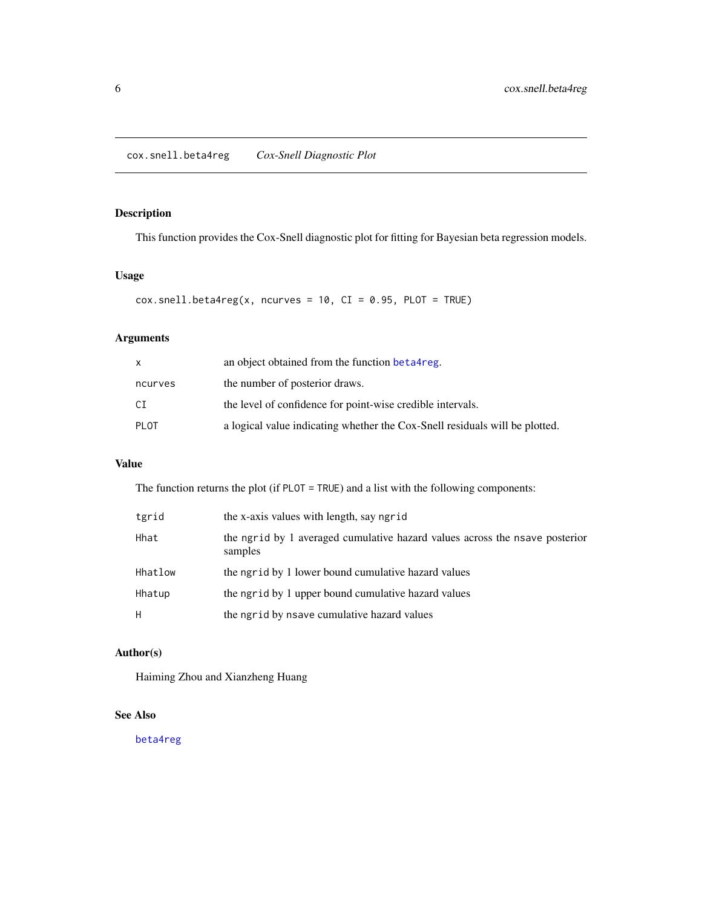#### <span id="page-5-1"></span><span id="page-5-0"></span>Description

This function provides the Cox-Snell diagnostic plot for fitting for Bayesian beta regression models.

#### Usage

```
cox.snell.beta4reg(x, ncuves = 10, CI = 0.95, PLOT = TRUE)
```
#### Arguments

|         | an object obtained from the function beta4reg.                              |
|---------|-----------------------------------------------------------------------------|
| ncurves | the number of posterior draws.                                              |
| СI      | the level of confidence for point-wise credible intervals.                  |
| PI 0T   | a logical value indicating whether the Cox-Snell residuals will be plotted. |

#### Value

The function returns the plot (if PLOT = TRUE) and a list with the following components:

| tgrid   | the x-axis values with length, say ngrid                                               |
|---------|----------------------------------------------------------------------------------------|
| Hhat    | the ngrid by 1 averaged cumulative hazard values across the nsave posterior<br>samples |
| Hhatlow | the ngrid by 1 lower bound cumulative hazard values                                    |
| Hhatup  | the ngrid by 1 upper bound cumulative hazard values                                    |
| H       | the ngrid by nsave cumulative hazard values                                            |

#### Author(s)

Haiming Zhou and Xianzheng Huang

#### See Also

[beta4reg](#page-1-1)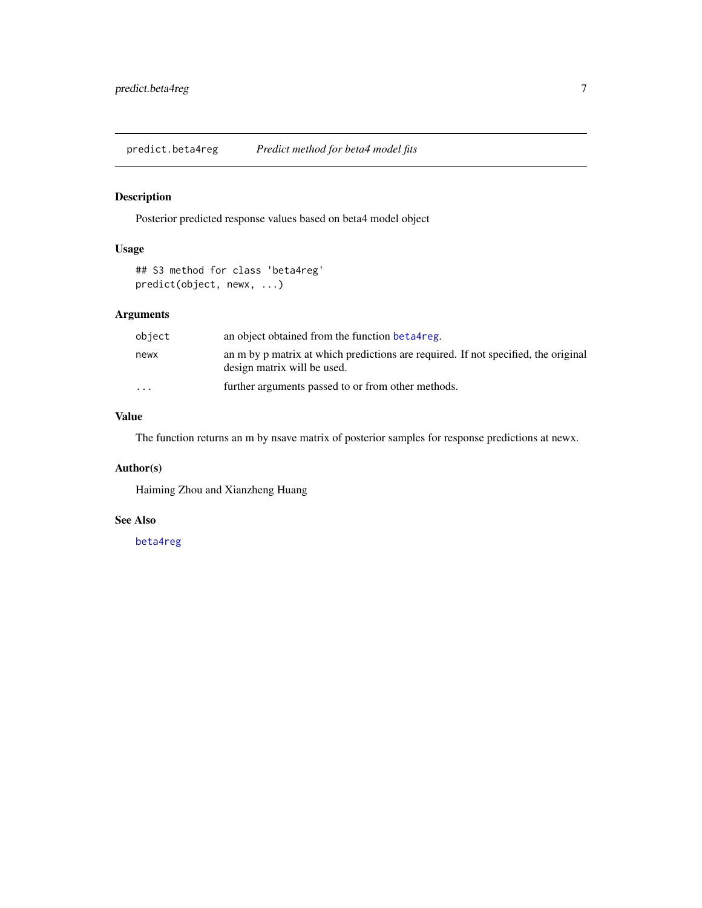<span id="page-6-0"></span>predict.beta4reg *Predict method for beta4 model fits*

#### Description

Posterior predicted response values based on beta4 model object

#### Usage

## S3 method for class 'beta4reg' predict(object, newx, ...)

#### Arguments

| object   | an object obtained from the function beta4reg.                                                                    |
|----------|-------------------------------------------------------------------------------------------------------------------|
| newx     | an m by p matrix at which predictions are required. If not specified, the original<br>design matrix will be used. |
| $\cdots$ | further arguments passed to or from other methods.                                                                |

#### Value

The function returns an m by nsave matrix of posterior samples for response predictions at newx.

#### Author(s)

Haiming Zhou and Xianzheng Huang

#### See Also

[beta4reg](#page-1-1)